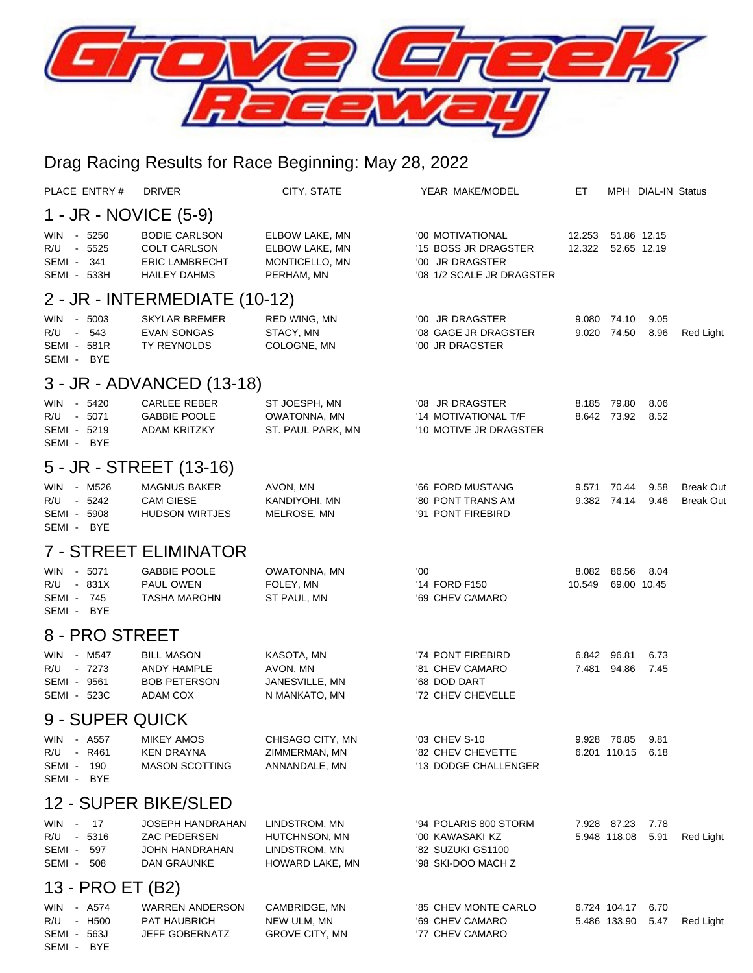

## Drag Racing Results for Race Beginning: May 28, 2022

| PLACE ENTRY#                                                     | <b>DRIVER</b>                                                                        | CITY, STATE                                                        | YEAR MAKE/MODEL                                                                          | ET.              |                              | MPH DIAL-IN Status         |                                      |  |  |  |  |
|------------------------------------------------------------------|--------------------------------------------------------------------------------------|--------------------------------------------------------------------|------------------------------------------------------------------------------------------|------------------|------------------------------|----------------------------|--------------------------------------|--|--|--|--|
| 1 - JR - NOVICE (5-9)                                            |                                                                                      |                                                                    |                                                                                          |                  |                              |                            |                                      |  |  |  |  |
| - 5250<br>WIN<br>R/U - 5525<br>SEMI-<br>341<br>SEMI - 533H       | <b>BODIE CARLSON</b><br><b>COLT CARLSON</b><br><b>ERIC LAMBRECHT</b><br>HAILEY DAHMS | ELBOW LAKE, MN<br>ELBOW LAKE, MN<br>MONTICELLO, MN<br>PERHAM, MN   | '00 MOTIVATIONAL<br>'15 BOSS JR DRAGSTER<br>'00 JR DRAGSTER<br>'08 1/2 SCALE JR DRAGSTER | 12.253<br>12.322 |                              | 51.86 12.15<br>52.65 12.19 |                                      |  |  |  |  |
| 2 - JR - INTERMEDIATE (10-12)                                    |                                                                                      |                                                                    |                                                                                          |                  |                              |                            |                                      |  |  |  |  |
| - 5003<br>WIN<br>R/U - 543<br>SEMI - 581R<br>SEMI - BYE          | <b>SKYLAR BREMER</b><br><b>EVAN SONGAS</b><br>TY REYNOLDS                            | RED WING, MN<br>STACY, MN<br>COLOGNE, MN                           | '00 JR DRAGSTER<br>'08 GAGE JR DRAGSTER<br>'00 JR DRAGSTER                               | 9.080            | 74.10<br>9.020 74.50         | 9.05<br>8.96               | Red Light                            |  |  |  |  |
|                                                                  | 3 - JR - ADVANCED (13-18)                                                            |                                                                    |                                                                                          |                  |                              |                            |                                      |  |  |  |  |
| $-5420$<br><b>WIN</b><br>R/U - 5071<br>SEMI - 5219<br>SEMI - BYE | <b>CARLEE REBER</b><br><b>GABBIE POOLE</b><br><b>ADAM KRITZKY</b>                    | ST JOESPH, MN<br>OWATONNA, MN<br>ST. PAUL PARK, MN                 | '08 JR DRAGSTER<br>'14 MOTIVATIONAL T/F<br>'10 MOTIVE JR DRAGSTER                        | 8.185            | 79.80<br>8.642 73.92         | 8.06<br>8.52               |                                      |  |  |  |  |
|                                                                  | 5 - JR - STREET (13-16)                                                              |                                                                    |                                                                                          |                  |                              |                            |                                      |  |  |  |  |
| WIN - M526<br>R/U - 5242<br>SEMI - 5908<br>SEMI - BYE            | <b>MAGNUS BAKER</b><br><b>CAM GIESE</b><br><b>HUDSON WIRTJES</b>                     | AVON, MN<br>KANDIYOHI, MN<br>MELROSE, MN                           | '66 FORD MUSTANG<br>'80 PONT TRANS AM<br>'91 PONT FIREBIRD                               | 9.571            | 70.44<br>9.382 74.14         | 9.58<br>9.46               | <b>Break Out</b><br><b>Break Out</b> |  |  |  |  |
|                                                                  | <b>7 - STREET ELIMINATOR</b>                                                         |                                                                    |                                                                                          |                  |                              |                            |                                      |  |  |  |  |
| - 5071<br><b>WIN</b><br>R/U - 831X<br>SEMI - 745<br>SEMI - BYE   | <b>GABBIE POOLE</b><br>PAUL OWEN<br><b>TASHA MAROHN</b>                              | OWATONNA, MN<br>FOLEY, MN<br>ST PAUL, MN                           | '00<br>'14 FORD F150<br>'69 CHEV CAMARO                                                  | 8.082<br>10.549  | 86.56                        | 8.04<br>69.00 10.45        |                                      |  |  |  |  |
| 8 - PRO STREET                                                   |                                                                                      |                                                                    |                                                                                          |                  |                              |                            |                                      |  |  |  |  |
| - M547<br><b>WIN</b><br>R/U - 7273<br>SEMI - 9561<br>SEMI - 523C | <b>BILL MASON</b><br>ANDY HAMPLE<br><b>BOB PETERSON</b><br>ADAM COX                  | KASOTA, MN<br>AVON, MN<br>JANESVILLE, MN<br>N MANKATO, MN          | '74 PONT FIREBIRD<br>'81 CHEV CAMARO<br>'68 DOD DART<br>'72 CHEV CHEVELLE                | 6.842<br>7.481   | 96.81<br>94.86               | 6.73<br>7.45               |                                      |  |  |  |  |
| 9 - SUPER QUICK                                                  |                                                                                      |                                                                    |                                                                                          |                  |                              |                            |                                      |  |  |  |  |
| WIN<br>- A557<br>R/U<br>- R461<br>SEMI - 190<br>SEMI - BYE       | <b>MIKEY AMOS</b><br>KEN DRAYNA<br><b>MASON SCOTTING</b>                             | CHISAGO CITY, MN<br>ZIMMERMAN, MN<br>ANNANDALE, MN                 | '03 CHEV S-10<br>'82 CHEV CHEVETTE<br>'13 DODGE CHALLENGER                               |                  | 9.928 76.85<br>6.201 110.15  | 9.81<br>6.18               |                                      |  |  |  |  |
| 12 - SUPER BIKE/SLED                                             |                                                                                      |                                                                    |                                                                                          |                  |                              |                            |                                      |  |  |  |  |
| WIN - 17<br>R/U - 5316<br>SEMI - 597<br>SEMI - 508               | JOSEPH HANDRAHAN<br><b>ZAC PEDERSEN</b><br>JOHN HANDRAHAN<br>DAN GRAUNKE             | LINDSTROM, MN<br>HUTCHNSON, MN<br>LINDSTROM, MN<br>HOWARD LAKE, MN | '94 POLARIS 800 STORM<br>'00 KAWASAKI KZ<br>'82 SUZUKI GS1100<br>'98 SKI-DOO MACH Z      |                  | 7.928 87.23<br>5.948 118.08  | 7.78<br>5.91               | Red Light                            |  |  |  |  |
| 13 - PRO ET (B2)                                                 |                                                                                      |                                                                    |                                                                                          |                  |                              |                            |                                      |  |  |  |  |
| WIN - A574<br>R/U - H500<br>SEMI - 563J<br>SEMI - BYE            | <b>WARREN ANDERSON</b><br>PAT HAUBRICH<br>JEFF GOBERNATZ                             | CAMBRIDGE, MN<br>NEW ULM, MN<br><b>GROVE CITY, MN</b>              | '85 CHEV MONTE CARLO<br>'69 CHEV CAMARO<br>'77 CHEV CAMARO                               |                  | 6.724 104.17<br>5.486 133.90 | 6.70<br>5.47               | Red Light                            |  |  |  |  |